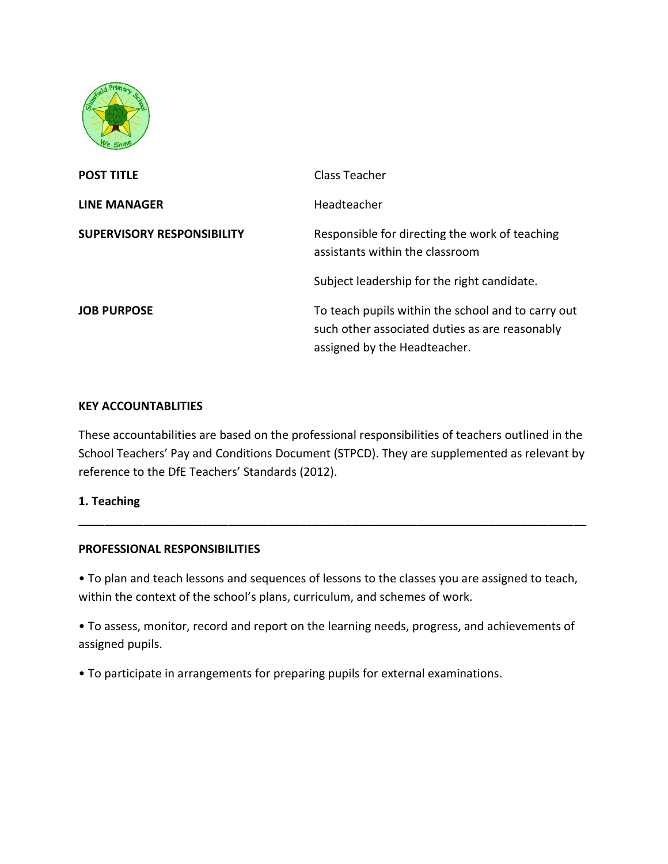

| <b>POST TITLE</b>                 | Class Teacher                                                                                                                        |
|-----------------------------------|--------------------------------------------------------------------------------------------------------------------------------------|
| LINE MANAGER                      | Headteacher                                                                                                                          |
| <b>SUPERVISORY RESPONSIBILITY</b> | Responsible for directing the work of teaching<br>assistants within the classroom                                                    |
|                                   | Subject leadership for the right candidate.                                                                                          |
| <b>JOB PURPOSE</b>                | To teach pupils within the school and to carry out<br>such other associated duties as are reasonably<br>assigned by the Headteacher. |

### KEY ACCOUNTABLITIES

These accountabilities are based on the professional responsibilities of teachers outlined in the School Teachers' Pay and Conditions Document (STPCD). They are supplemented as relevant by reference to the DfE Teachers' Standards (2012).

\_\_\_\_\_\_\_\_\_\_\_\_\_\_\_\_\_\_\_\_\_\_\_\_\_\_\_\_\_\_\_\_\_\_\_\_\_\_\_\_\_\_\_\_\_\_\_\_\_\_\_\_\_\_\_\_\_\_\_\_\_\_\_\_\_\_\_\_\_\_\_\_\_\_\_\_\_\_

### 1. Teaching

### PROFESSIONAL RESPONSIBILITIES

• To plan and teach lessons and sequences of lessons to the classes you are assigned to teach, within the context of the school's plans, curriculum, and schemes of work.

• To assess, monitor, record and report on the learning needs, progress, and achievements of assigned pupils.

• To participate in arrangements for preparing pupils for external examinations.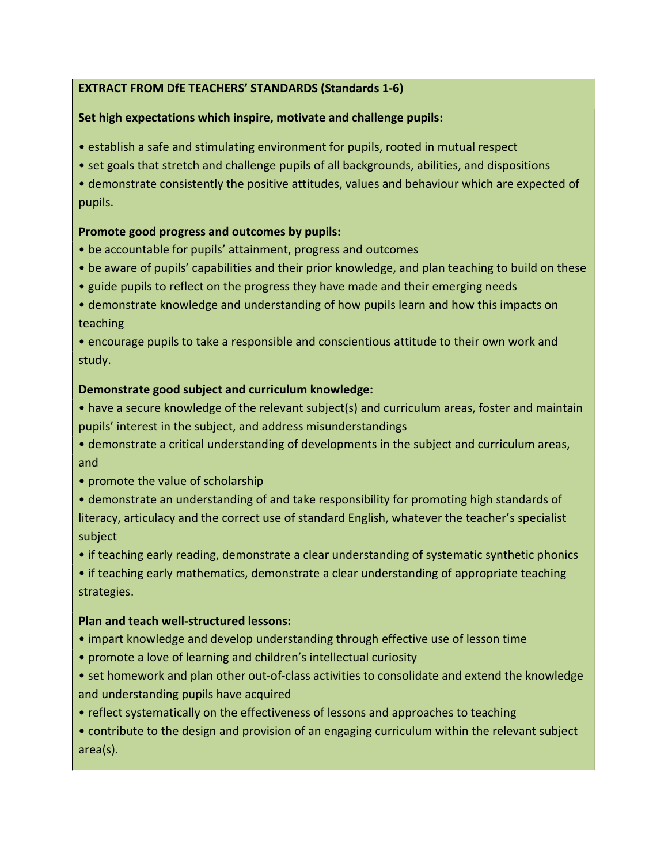# EXTRACT FROM DfE TEACHERS' STANDARDS (Standards 1-6)

## Set high expectations which inspire, motivate and challenge pupils:

- establish a safe and stimulating environment for pupils, rooted in mutual respect
- set goals that stretch and challenge pupils of all backgrounds, abilities, and dispositions

• demonstrate consistently the positive attitudes, values and behaviour which are expected of pupils.

# Promote good progress and outcomes by pupils:

- be accountable for pupils' attainment, progress and outcomes
- be aware of pupils' capabilities and their prior knowledge, and plan teaching to build on these
- guide pupils to reflect on the progress they have made and their emerging needs
- demonstrate knowledge and understanding of how pupils learn and how this impacts on teaching
- encourage pupils to take a responsible and conscientious attitude to their own work and study.

# Demonstrate good subject and curriculum knowledge:

- have a secure knowledge of the relevant subject(s) and curriculum areas, foster and maintain pupils' interest in the subject, and address misunderstandings
- demonstrate a critical understanding of developments in the subject and curriculum areas, and
- promote the value of scholarship
- demonstrate an understanding of and take responsibility for promoting high standards of literacy, articulacy and the correct use of standard English, whatever the teacher's specialist subject
- if teaching early reading, demonstrate a clear understanding of systematic synthetic phonics

• if teaching early mathematics, demonstrate a clear understanding of appropriate teaching strategies.

### Plan and teach well-structured lessons:

- impart knowledge and develop understanding through effective use of lesson time
- promote a love of learning and children's intellectual curiosity
- set homework and plan other out-of-class activities to consolidate and extend the knowledge and understanding pupils have acquired
- reflect systematically on the effectiveness of lessons and approaches to teaching
- contribute to the design and provision of an engaging curriculum within the relevant subject area(s).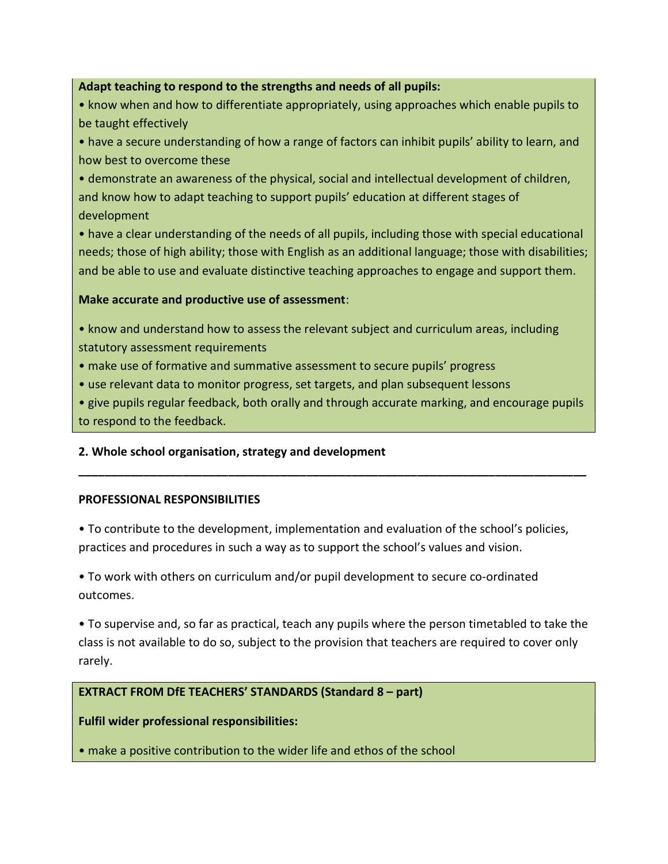## Adapt teaching to respond to the strengths and needs of all pupils:

• know when and how to differentiate appropriately, using approaches which enable pupils to be taught effectively

• have a secure understanding of how a range of factors can inhibit pupils' ability to learn, and how best to overcome these

• demonstrate an awareness of the physical, social and intellectual development of children, and know how to adapt teaching to support pupils' education at different stages of development

• have a clear understanding of the needs of all pupils, including those with special educational needs; those of high ability; those with English as an additional language; those with disabilities; and be able to use and evaluate distinctive teaching approaches to engage and support them.

# Make accurate and productive use of assessment:

• know and understand how to assess the relevant subject and curriculum areas, including statutory assessment requirements

- make use of formative and summative assessment to secure pupils' progress
- use relevant data to monitor progress, set targets, and plan subsequent lessons

• give pupils regular feedback, both orally and through accurate marking, and encourage pupils to respond to the feedback.

\_\_\_\_\_\_\_\_\_\_\_\_\_\_\_\_\_\_\_\_\_\_\_\_\_\_\_\_\_\_\_\_\_\_\_\_\_\_\_\_\_\_\_\_\_\_\_\_\_\_\_\_\_\_\_\_\_\_\_\_\_\_\_\_\_\_\_\_\_\_\_\_\_\_\_\_\_\_

### 2. Whole school organisation, strategy and development

### PROFESSIONAL RESPONSIBILITIES

• To contribute to the development, implementation and evaluation of the school's policies, practices and procedures in such a way as to support the school's values and vision.

• To work with others on curriculum and/or pupil development to secure co-ordinated outcomes.

• To supervise and, so far as practical, teach any pupils where the person timetabled to take the class is not available to do so, subject to the provision that teachers are required to cover only rarely.

## EXTRACT FROM DfE TEACHERS' STANDARDS (Standard 8 – part)

Fulfil wider professional responsibilities:

• make a positive contribution to the wider life and ethos of the school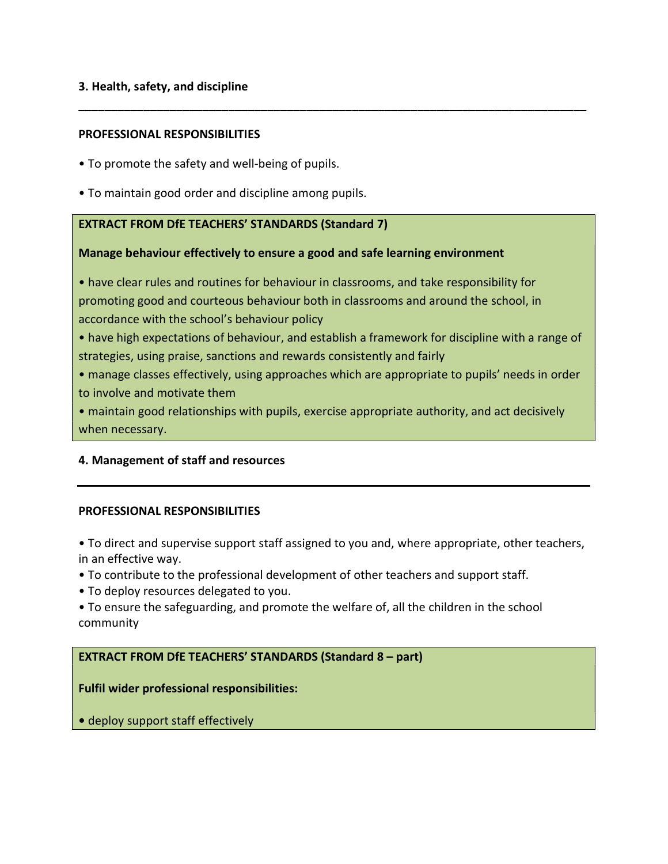### 3. Health, safety, and discipline

#### PROFESSIONAL RESPONSIBILITIES

- To promote the safety and well-being of pupils.
- To maintain good order and discipline among pupils.

### EXTRACT FROM DfE TEACHERS' STANDARDS (Standard 7)

#### Manage behaviour effectively to ensure a good and safe learning environment

• have clear rules and routines for behaviour in classrooms, and take responsibility for promoting good and courteous behaviour both in classrooms and around the school, in accordance with the school's behaviour policy

• have high expectations of behaviour, and establish a framework for discipline with a range of strategies, using praise, sanctions and rewards consistently and fairly

\_\_\_\_\_\_\_\_\_\_\_\_\_\_\_\_\_\_\_\_\_\_\_\_\_\_\_\_\_\_\_\_\_\_\_\_\_\_\_\_\_\_\_\_\_\_\_\_\_\_\_\_\_\_\_\_\_\_\_\_\_\_\_\_\_\_\_\_\_\_\_\_\_\_\_\_\_\_

- manage classes effectively, using approaches which are appropriate to pupils' needs in order to involve and motivate them
- maintain good relationships with pupils, exercise appropriate authority, and act decisively when necessary.

### 4. Management of staff and resources

#### PROFESSIONAL RESPONSIBILITIES

• To direct and supervise support staff assigned to you and, where appropriate, other teachers, in an effective way.

- To contribute to the professional development of other teachers and support staff.
- To deploy resources delegated to you.
- To ensure the safeguarding, and promote the welfare of, all the children in the school community

### EXTRACT FROM DfE TEACHERS' STANDARDS (Standard 8 – part)

Fulfil wider professional responsibilities:

• deploy support staff effectively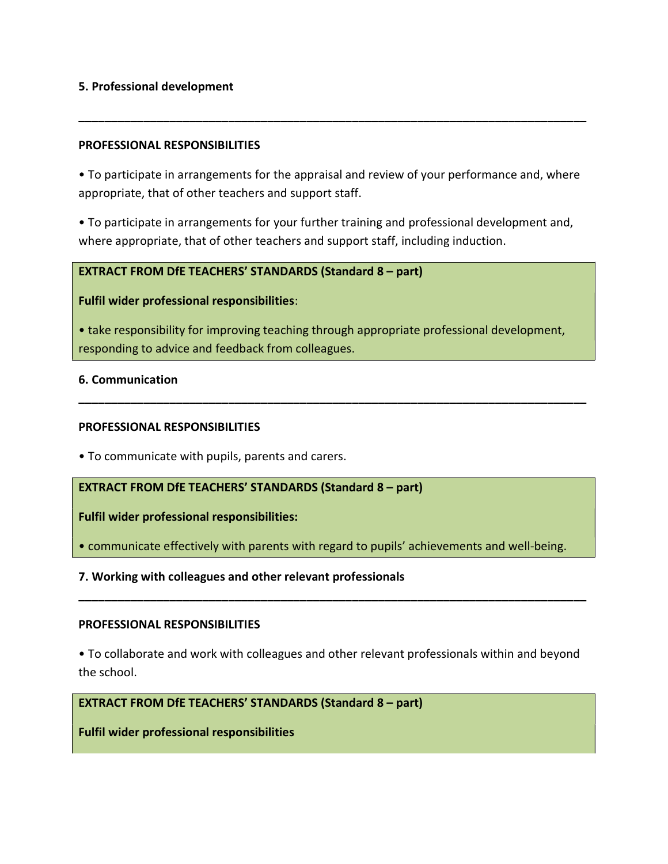### 5. Professional development

### PROFESSIONAL RESPONSIBILITIES

• To participate in arrangements for the appraisal and review of your performance and, where appropriate, that of other teachers and support staff.

\_\_\_\_\_\_\_\_\_\_\_\_\_\_\_\_\_\_\_\_\_\_\_\_\_\_\_\_\_\_\_\_\_\_\_\_\_\_\_\_\_\_\_\_\_\_\_\_\_\_\_\_\_\_\_\_\_\_\_\_\_\_\_\_\_\_\_\_\_\_\_\_\_\_\_\_\_\_

• To participate in arrangements for your further training and professional development and, where appropriate, that of other teachers and support staff, including induction.

### EXTRACT FROM DfE TEACHERS' STANDARDS (Standard 8 – part)

Fulfil wider professional responsibilities:

• take responsibility for improving teaching through appropriate professional development, responding to advice and feedback from colleagues.

\_\_\_\_\_\_\_\_\_\_\_\_\_\_\_\_\_\_\_\_\_\_\_\_\_\_\_\_\_\_\_\_\_\_\_\_\_\_\_\_\_\_\_\_\_\_\_\_\_\_\_\_\_\_\_\_\_\_\_\_\_\_\_\_\_\_\_\_\_\_\_\_\_\_\_\_\_\_

#### 6. Communication

#### PROFESSIONAL RESPONSIBILITIES

• To communicate with pupils, parents and carers.

### EXTRACT FROM DfE TEACHERS' STANDARDS (Standard 8 – part)

Fulfil wider professional responsibilities:

• communicate effectively with parents with regard to pupils' achievements and well-being.

### 7. Working with colleagues and other relevant professionals

### PROFESSIONAL RESPONSIBILITIES

• To collaborate and work with colleagues and other relevant professionals within and beyond the school.

\_\_\_\_\_\_\_\_\_\_\_\_\_\_\_\_\_\_\_\_\_\_\_\_\_\_\_\_\_\_\_\_\_\_\_\_\_\_\_\_\_\_\_\_\_\_\_\_\_\_\_\_\_\_\_\_\_\_\_\_\_\_\_\_\_\_\_\_\_\_\_\_\_\_\_\_\_\_

### EXTRACT FROM DfE TEACHERS' STANDARDS (Standard 8 – part)

Fulfil wider professional responsibilities